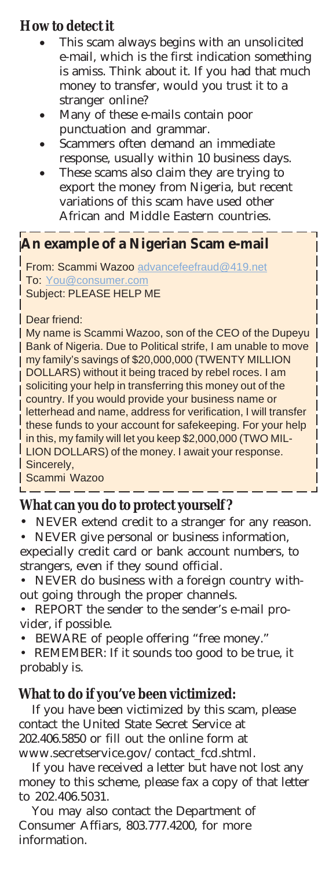## **How to detect it**

- This scam always begins with an unsolicited e-mail, which is the first indication something is amiss. Think about it. If you had that much money to transfer, would you trust it to a stranger online?
- Many of these e-mails contain poor punctuation and grammar.
- Scammers often demand an immediate response, usually within 10 business days.
- These scams also claim they are trying to export the money from Nigeria, but recent variations of this scam have used other African and Middle Eastern countries.

## **An example of a Nigerian Scam e-mail**

From: Scammi Wazoo advancefeefraud@419.net To: You@consumer.com Subject: PLEASE HELP ME

#### Dear friend:

My name is Scammi Wazoo, son of the CEO of the Dupeyu **Bank of Nigeria. Due to Political strife, I am unable to move** my family's savings of \$20,000,000 (TWENTY MILLION DOLLARS) without it being traced by rebel roces. I am soliciting your help in transferring this money out of the country. If you would provide your business name or L letterhead and name, address for verification, I will transfer I these funds to your account for safekeeping. For your help I in this, my family will let you keep \$2,000,000 (TWO MIL-**LION DOLLARS) of the money. I await your response.** Sincerely,

Scammi Wazoo

 $\overline{\phantom{a}}$ 

### **What can you do to protect yourself ?**

NEVER extend credit to a stranger for any reason.

- NEVER give personal or business information, expecially credit card or bank account numbers, to strangers, even if they sound official.
- NEVER do business with a foreign country without going through the proper channels.
- REPORT the sender to the sender's e-mail provider, if possible.
- BEWARE of people offering "free money."
- REMEMBER: If it sounds too good to be true, it probably is.

### **What to do if you've been victimized:**

If you have been victimized by this scam, please contact the United State Secret Service at 202.406.5850 or fill out the online form at www.secretservice.gov/contact\_fcd.shtml.

If you have received a letter but have not lost any money to this scheme, please fax a copy of that letter to 202.406.5031.

You may also contact the Department of Consumer Affiars, 803.777.4200, for more information.